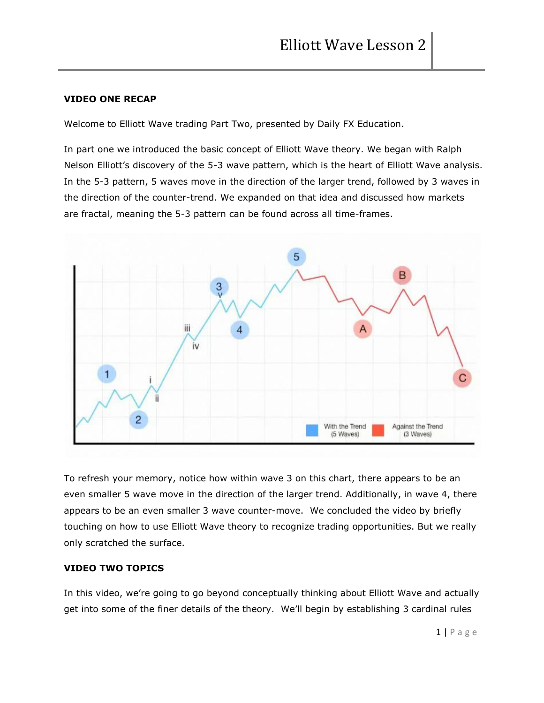# **VIDEO ONE RECAP**

Welcome to Elliott Wave trading Part Two, presented by Daily FX Education.

In part one we introduced the basic concept of Elliott Wave theory. We began with Ralph Nelson Elliott's discovery of the 5-3 wave pattern, which is the heart of Elliott Wave analysis. In the 5-3 pattern, 5 waves move in the direction of the larger trend, followed by 3 waves in the direction of the counter-trend. We expanded on that idea and discussed how markets are fractal, meaning the 5-3 pattern can be found across all time-frames.



To refresh your memory, notice how within wave 3 on this chart, there appears to be an even smaller 5 wave move in the direction of the larger trend. Additionally, in wave 4, there appears to be an even smaller 3 wave counter-move. We concluded the video by briefly touching on how to use Elliott Wave theory to recognize trading opportunities. But we really only scratched the surface.

# **VIDEO TWO TOPICS**

In this video, we're going to go beyond conceptually thinking about Elliott Wave and actually get into some of the finer details of the theory. We'll begin by establishing 3 cardinal rules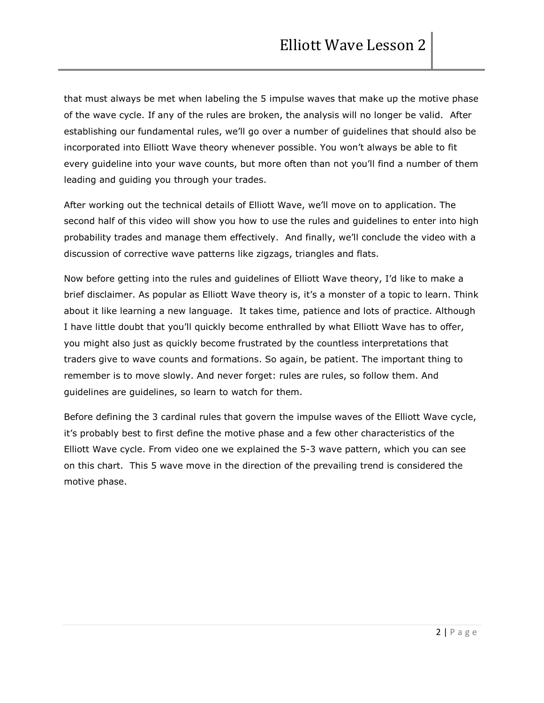that must always be met when labeling the 5 impulse waves that make up the motive phase of the wave cycle. If any of the rules are broken, the analysis will no longer be valid. After establishing our fundamental rules, we'll go over a number of guidelines that should also be incorporated into Elliott Wave theory whenever possible. You won't always be able to fit every guideline into your wave counts, but more often than not you'll find a number of them leading and guiding you through your trades.

After working out the technical details of Elliott Wave, we'll move on to application. The second half of this video will show you how to use the rules and guidelines to enter into high probability trades and manage them effectively. And finally, we'll conclude the video with a discussion of corrective wave patterns like zigzags, triangles and flats.

Now before getting into the rules and guidelines of Elliott Wave theory, I'd like to make a brief disclaimer. As popular as Elliott Wave theory is, it's a monster of a topic to learn. Think about it like learning a new language. It takes time, patience and lots of practice. Although I have little doubt that you'll quickly become enthralled by what Elliott Wave has to offer, you might also just as quickly become frustrated by the countless interpretations that traders give to wave counts and formations. So again, be patient. The important thing to remember is to move slowly. And never forget: rules are rules, so follow them. And guidelines are guidelines, so learn to watch for them.

Before defining the 3 cardinal rules that govern the impulse waves of the Elliott Wave cycle, it's probably best to first define the motive phase and a few other characteristics of the Elliott Wave cycle. From video one we explained the 5-3 wave pattern, which you can see on this chart. This 5 wave move in the direction of the prevailing trend is considered the motive phase.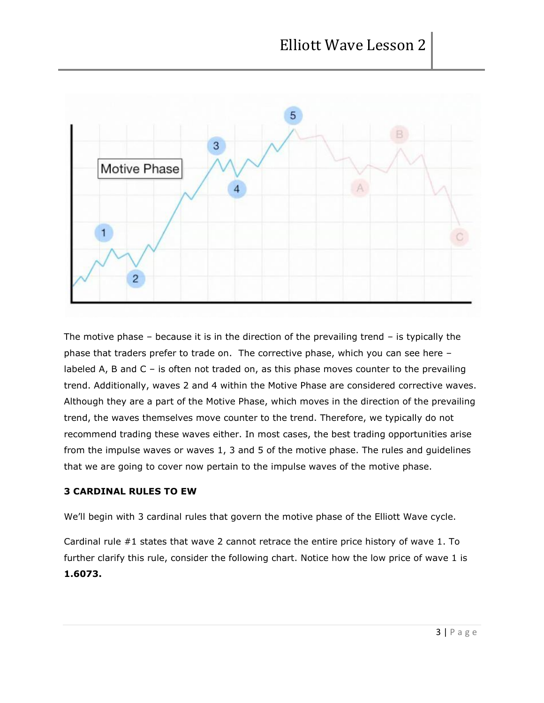

The motive phase  $-$  because it is in the direction of the prevailing trend  $-$  is typically the phase that traders prefer to trade on. The corrective phase, which you can see here – labeled A, B and C – is often not traded on, as this phase moves counter to the prevailing trend. Additionally, waves 2 and 4 within the Motive Phase are considered corrective waves. Although they are a part of the Motive Phase, which moves in the direction of the prevailing trend, the waves themselves move counter to the trend. Therefore, we typically do not recommend trading these waves either. In most cases, the best trading opportunities arise from the impulse waves or waves 1, 3 and 5 of the motive phase. The rules and guidelines that we are going to cover now pertain to the impulse waves of the motive phase.

### **3 CARDINAL RULES TO EW**

We'll begin with 3 cardinal rules that govern the motive phase of the Elliott Wave cycle.

Cardinal rule #1 states that wave 2 cannot retrace the entire price history of wave 1. To further clarify this rule, consider the following chart. Notice how the low price of wave 1 is **1.6073.**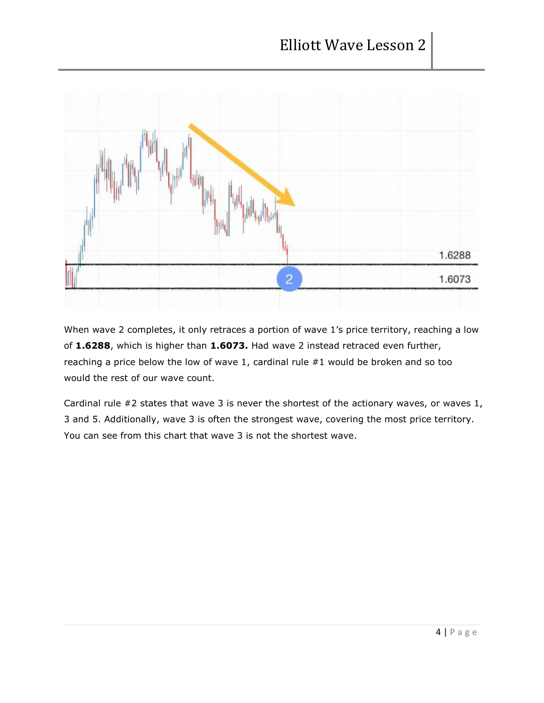

When wave 2 completes, it only retraces a portion of wave 1's price territory, reaching a low of **1.6288**, which is higher than **1.6073.** Had wave 2 instead retraced even further, reaching a price below the low of wave 1, cardinal rule #1 would be broken and so too would the rest of our wave count.

Cardinal rule #2 states that wave 3 is never the shortest of the actionary waves, or waves 1, 3 and 5. Additionally, wave 3 is often the strongest wave, covering the most price territory. You can see from this chart that wave 3 is not the shortest wave.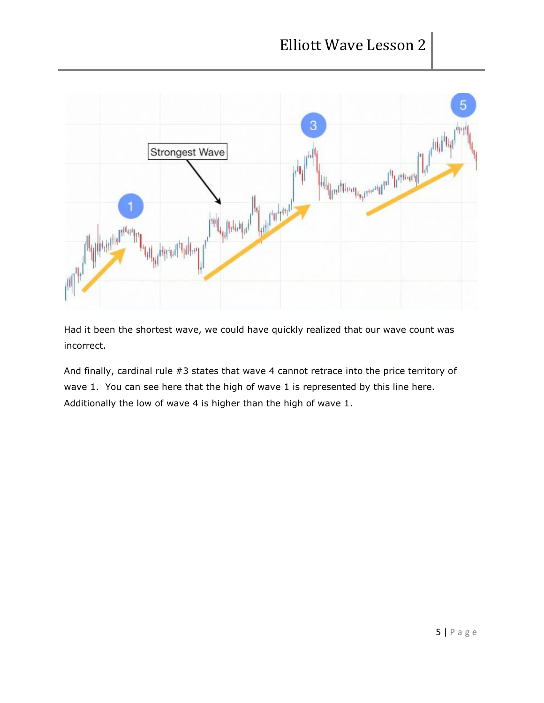

Had it been the shortest wave, we could have quickly realized that our wave count was incorrect.

And finally, cardinal rule #3 states that wave 4 cannot retrace into the price territory of wave 1. You can see here that the high of wave 1 is represented by this line here. Additionally the low of wave 4 is higher than the high of wave 1.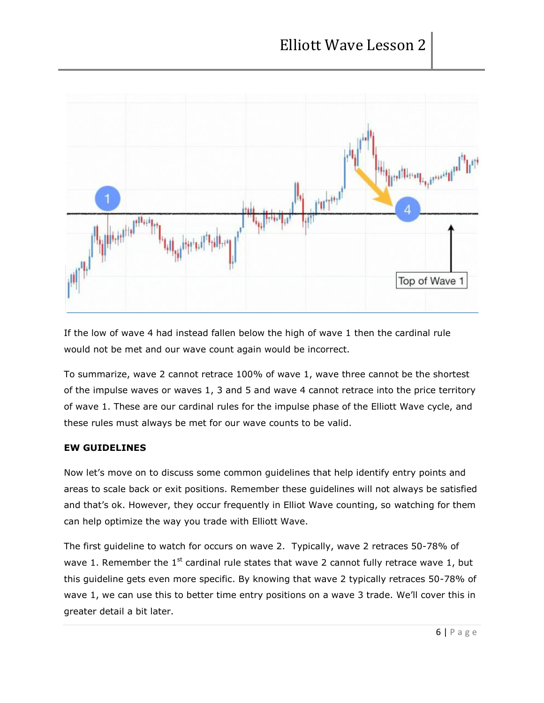

If the low of wave 4 had instead fallen below the high of wave 1 then the cardinal rule would not be met and our wave count again would be incorrect.

To summarize, wave 2 cannot retrace 100% of wave 1, wave three cannot be the shortest of the impulse waves or waves 1, 3 and 5 and wave 4 cannot retrace into the price territory of wave 1. These are our cardinal rules for the impulse phase of the Elliott Wave cycle, and these rules must always be met for our wave counts to be valid.

# **EW GUIDELINES**

Now let's move on to discuss some common guidelines that help identify entry points and areas to scale back or exit positions. Remember these guidelines will not always be satisfied and that's ok. However, they occur frequently in Elliot Wave counting, so watching for them can help optimize the way you trade with Elliott Wave.

The first guideline to watch for occurs on wave 2. Typically, wave 2 retraces 50-78% of wave 1. Remember the  $1^{st}$  cardinal rule states that wave 2 cannot fully retrace wave 1, but this guideline gets even more specific. By knowing that wave 2 typically retraces 50-78% of wave 1, we can use this to better time entry positions on a wave 3 trade. We'll cover this in greater detail a bit later.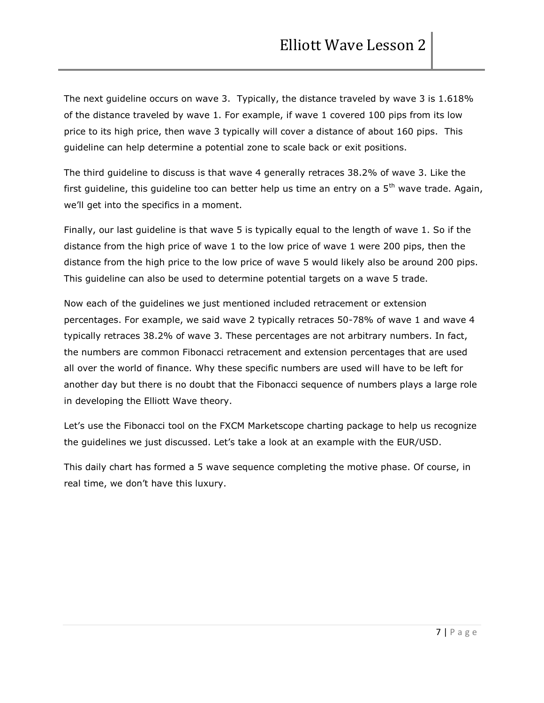The next guideline occurs on wave 3. Typically, the distance traveled by wave 3 is 1.618% of the distance traveled by wave 1. For example, if wave 1 covered 100 pips from its low price to its high price, then wave 3 typically will cover a distance of about 160 pips. This guideline can help determine a potential zone to scale back or exit positions.

The third guideline to discuss is that wave 4 generally retraces 38.2% of wave 3. Like the first guideline, this guideline too can better help us time an entry on a  $5<sup>th</sup>$  wave trade. Again, we'll get into the specifics in a moment.

Finally, our last guideline is that wave 5 is typically equal to the length of wave 1. So if the distance from the high price of wave 1 to the low price of wave 1 were 200 pips, then the distance from the high price to the low price of wave 5 would likely also be around 200 pips. This guideline can also be used to determine potential targets on a wave 5 trade.

Now each of the guidelines we just mentioned included retracement or extension percentages. For example, we said wave 2 typically retraces 50-78% of wave 1 and wave 4 typically retraces 38.2% of wave 3. These percentages are not arbitrary numbers. In fact, the numbers are common Fibonacci retracement and extension percentages that are used all over the world of finance. Why these specific numbers are used will have to be left for another day but there is no doubt that the Fibonacci sequence of numbers plays a large role in developing the Elliott Wave theory.

Let's use the Fibonacci tool on the FXCM Marketscope charting package to help us recognize the guidelines we just discussed. Let's take a look at an example with the EUR/USD.

This daily chart has formed a 5 wave sequence completing the motive phase. Of course, in real time, we don't have this luxury.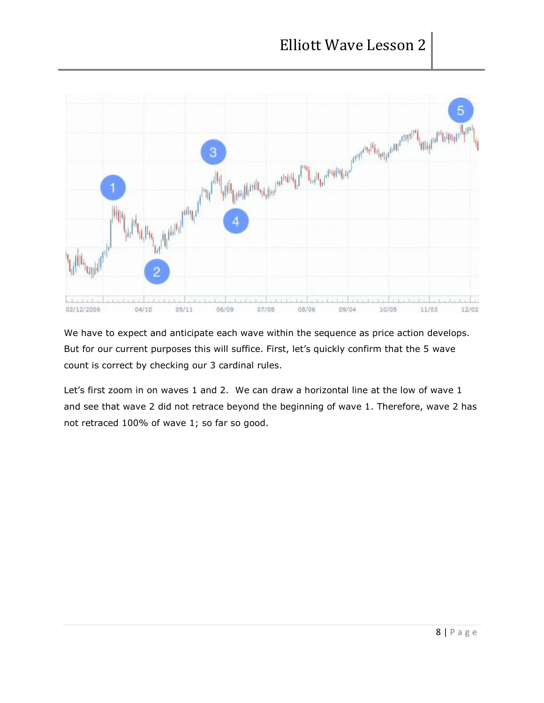

We have to expect and anticipate each wave within the sequence as price action develops. But for our current purposes this will suffice. First, let's quickly confirm that the 5 wave count is correct by checking our 3 cardinal rules.

Let's first zoom in on waves 1 and 2. We can draw a horizontal line at the low of wave 1 and see that wave 2 did not retrace beyond the beginning of wave 1. Therefore, wave 2 has not retraced 100% of wave 1; so far so good.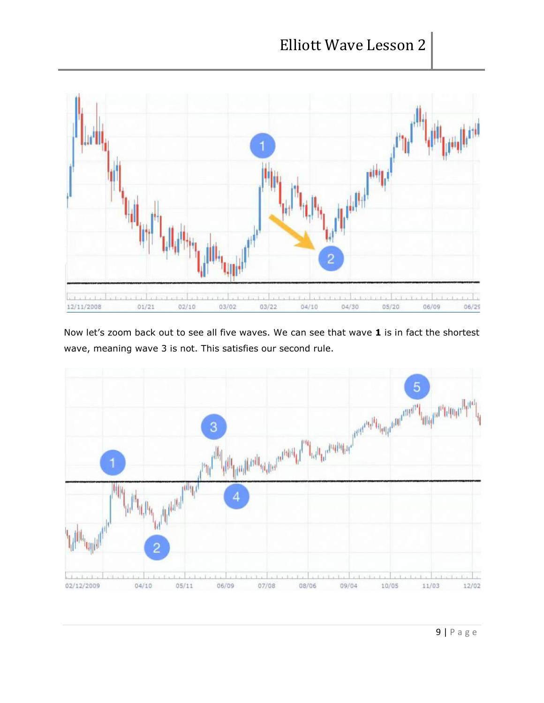

Now let's zoom back out to see all five waves. We can see that wave **1** is in fact the shortest wave, meaning wave 3 is not. This satisfies our second rule.

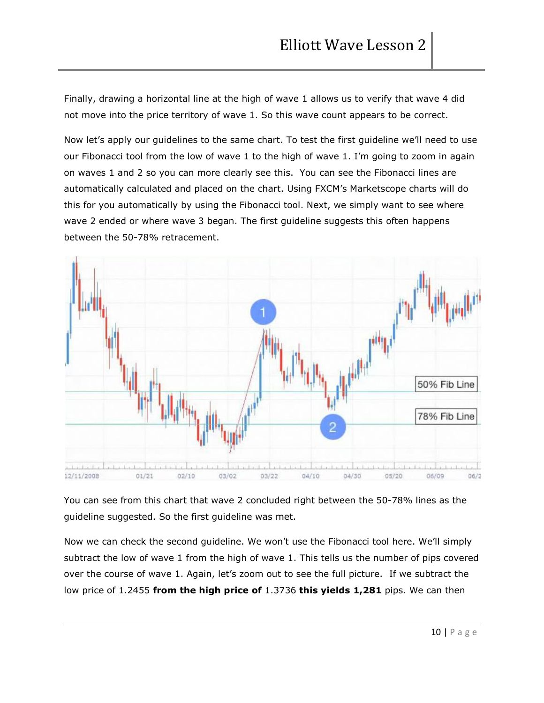Finally, drawing a horizontal line at the high of wave 1 allows us to verify that wave 4 did not move into the price territory of wave 1. So this wave count appears to be correct.

Now let's apply our guidelines to the same chart. To test the first guideline we'll need to use our Fibonacci tool from the low of wave 1 to the high of wave 1. I'm going to zoom in again on waves 1 and 2 so you can more clearly see this. You can see the Fibonacci lines are automatically calculated and placed on the chart. Using FXCM's Marketscope charts will do this for you automatically by using the Fibonacci tool. Next, we simply want to see where wave 2 ended or where wave 3 began. The first guideline suggests this often happens between the 50-78% retracement.



You can see from this chart that wave 2 concluded right between the 50-78% lines as the guideline suggested. So the first guideline was met.

Now we can check the second guideline. We won't use the Fibonacci tool here. We'll simply subtract the low of wave 1 from the high of wave 1. This tells us the number of pips covered over the course of wave 1. Again, let's zoom out to see the full picture. If we subtract the low price of 1.2455 **from the high price of** 1.3736 **this yields 1,281** pips. We can then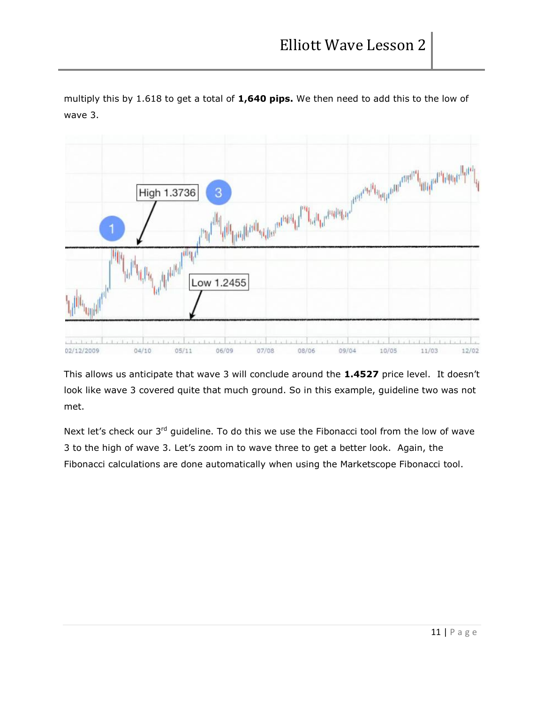multiply this by 1.618 to get a total of **1,640 pips.** We then need to add this to the low of wave 3.



This allows us anticipate that wave 3 will conclude around the **1.4527** price level. It doesn't look like wave 3 covered quite that much ground. So in this example, guideline two was not met.

Next let's check our 3<sup>rd</sup> guideline. To do this we use the Fibonacci tool from the low of wave 3 to the high of wave 3. Let's zoom in to wave three to get a better look. Again, the Fibonacci calculations are done automatically when using the Marketscope Fibonacci tool.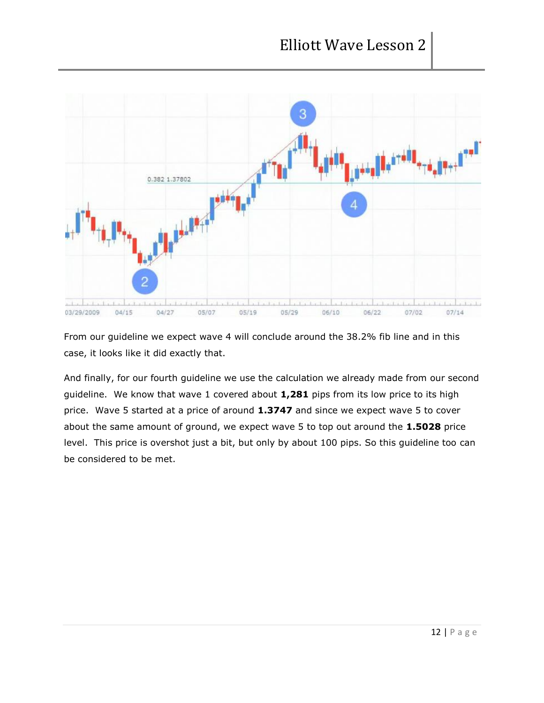

From our guideline we expect wave 4 will conclude around the 38.2% fib line and in this case, it looks like it did exactly that.

And finally, for our fourth guideline we use the calculation we already made from our second guideline. We know that wave 1 covered about **1,281** pips from its low price to its high price. Wave 5 started at a price of around **1.3747** and since we expect wave 5 to cover about the same amount of ground, we expect wave 5 to top out around the **1.5028** price level. This price is overshot just a bit, but only by about 100 pips. So this guideline too can be considered to be met.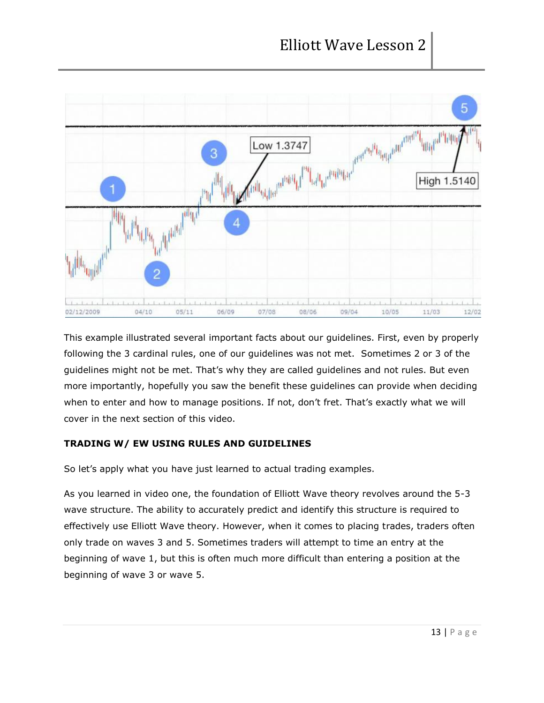

This example illustrated several important facts about our guidelines. First, even by properly following the 3 cardinal rules, one of our guidelines was not met. Sometimes 2 or 3 of the guidelines might not be met. That's why they are called guidelines and not rules. But even more importantly, hopefully you saw the benefit these guidelines can provide when deciding when to enter and how to manage positions. If not, don't fret. That's exactly what we will cover in the next section of this video.

# **TRADING W/ EW USING RULES AND GUIDELINES**

So let's apply what you have just learned to actual trading examples.

As you learned in video one, the foundation of Elliott Wave theory revolves around the 5-3 wave structure. The ability to accurately predict and identify this structure is required to effectively use Elliott Wave theory. However, when it comes to placing trades, traders often only trade on waves 3 and 5. Sometimes traders will attempt to time an entry at the beginning of wave 1, but this is often much more difficult than entering a position at the beginning of wave 3 or wave 5.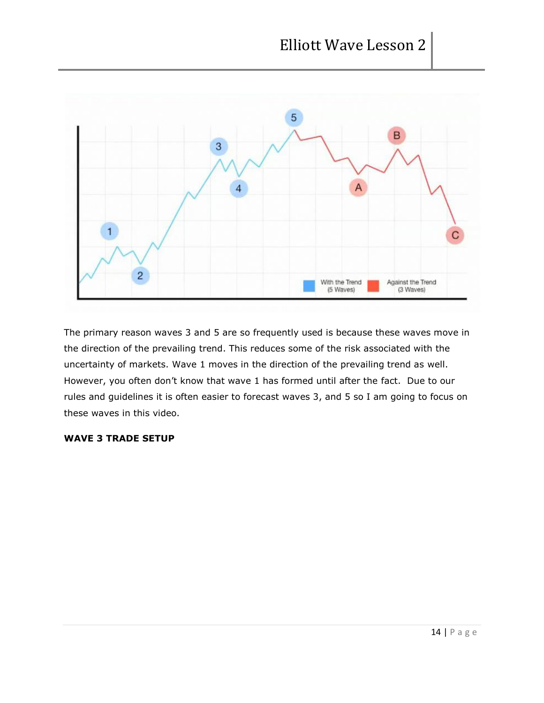

The primary reason waves 3 and 5 are so frequently used is because these waves move in the direction of the prevailing trend. This reduces some of the risk associated with the uncertainty of markets. Wave 1 moves in the direction of the prevailing trend as well. However, you often don't know that wave 1 has formed until after the fact. Due to our rules and guidelines it is often easier to forecast waves 3, and 5 so I am going to focus on these waves in this video.

### **WAVE 3 TRADE SETUP**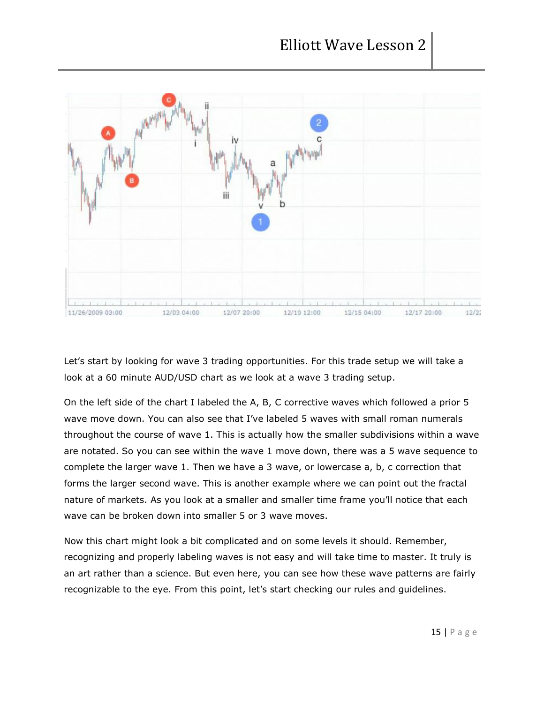

Let's start by looking for wave 3 trading opportunities. For this trade setup we will take a look at a 60 minute AUD/USD chart as we look at a wave 3 trading setup.

On the left side of the chart I labeled the A, B, C corrective waves which followed a prior 5 wave move down. You can also see that I've labeled 5 waves with small roman numerals throughout the course of wave 1. This is actually how the smaller subdivisions within a wave are notated. So you can see within the wave 1 move down, there was a 5 wave sequence to complete the larger wave 1. Then we have a 3 wave, or lowercase a, b, c correction that forms the larger second wave. This is another example where we can point out the fractal nature of markets. As you look at a smaller and smaller time frame you'll notice that each wave can be broken down into smaller 5 or 3 wave moves.

Now this chart might look a bit complicated and on some levels it should. Remember, recognizing and properly labeling waves is not easy and will take time to master. It truly is an art rather than a science. But even here, you can see how these wave patterns are fairly recognizable to the eye. From this point, let's start checking our rules and guidelines.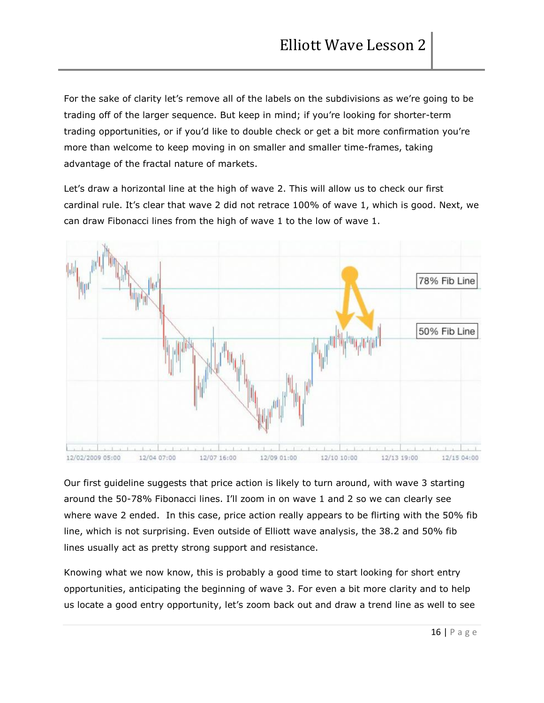For the sake of clarity let's remove all of the labels on the subdivisions as we're going to be trading off of the larger sequence. But keep in mind; if you're looking for shorter-term trading opportunities, or if you'd like to double check or get a bit more confirmation you're more than welcome to keep moving in on smaller and smaller time-frames, taking advantage of the fractal nature of markets.

Let's draw a horizontal line at the high of wave 2. This will allow us to check our first cardinal rule. It's clear that wave 2 did not retrace 100% of wave 1, which is good. Next, we can draw Fibonacci lines from the high of wave 1 to the low of wave 1.



Our first guideline suggests that price action is likely to turn around, with wave 3 starting around the 50-78% Fibonacci lines. I'll zoom in on wave 1 and 2 so we can clearly see where wave 2 ended. In this case, price action really appears to be flirting with the 50% fib line, which is not surprising. Even outside of Elliott wave analysis, the 38.2 and 50% fib lines usually act as pretty strong support and resistance.

Knowing what we now know, this is probably a good time to start looking for short entry opportunities, anticipating the beginning of wave 3. For even a bit more clarity and to help us locate a good entry opportunity, let's zoom back out and draw a trend line as well to see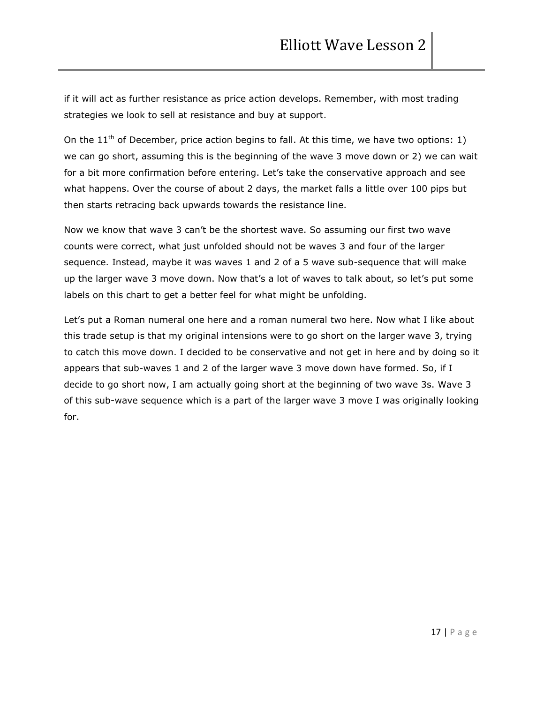if it will act as further resistance as price action develops. Remember, with most trading strategies we look to sell at resistance and buy at support.

On the  $11<sup>th</sup>$  of December, price action begins to fall. At this time, we have two options: 1) we can go short, assuming this is the beginning of the wave 3 move down or 2) we can wait for a bit more confirmation before entering. Let's take the conservative approach and see what happens. Over the course of about 2 days, the market falls a little over 100 pips but then starts retracing back upwards towards the resistance line.

Now we know that wave 3 can't be the shortest wave. So assuming our first two wave counts were correct, what just unfolded should not be waves 3 and four of the larger sequence. Instead, maybe it was waves 1 and 2 of a 5 wave sub-sequence that will make up the larger wave 3 move down. Now that's a lot of waves to talk about, so let's put some labels on this chart to get a better feel for what might be unfolding.

Let's put a Roman numeral one here and a roman numeral two here. Now what I like about this trade setup is that my original intensions were to go short on the larger wave 3, trying to catch this move down. I decided to be conservative and not get in here and by doing so it appears that sub-waves 1 and 2 of the larger wave 3 move down have formed. So, if I decide to go short now, I am actually going short at the beginning of two wave 3s. Wave 3 of this sub-wave sequence which is a part of the larger wave 3 move I was originally looking for.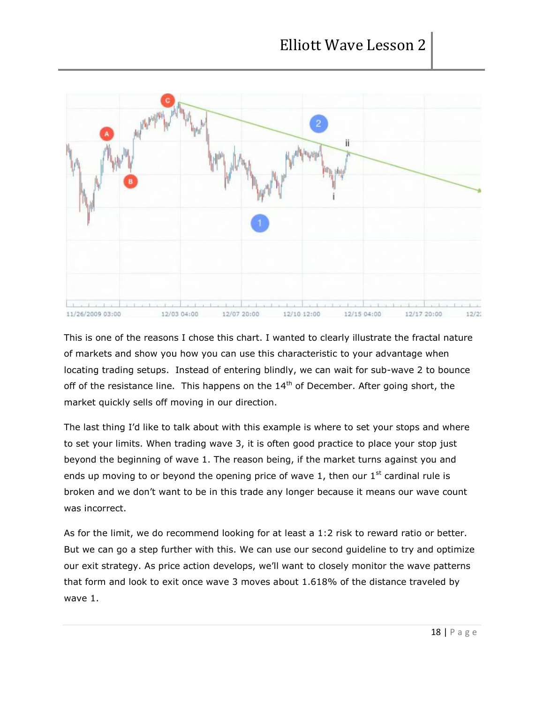

This is one of the reasons I chose this chart. I wanted to clearly illustrate the fractal nature of markets and show you how you can use this characteristic to your advantage when locating trading setups. Instead of entering blindly, we can wait for sub-wave 2 to bounce off of the resistance line. This happens on the  $14<sup>th</sup>$  of December. After going short, the market quickly sells off moving in our direction.

The last thing I'd like to talk about with this example is where to set your stops and where to set your limits. When trading wave 3, it is often good practice to place your stop just beyond the beginning of wave 1. The reason being, if the market turns against you and ends up moving to or beyond the opening price of wave 1, then our  $1<sup>st</sup>$  cardinal rule is broken and we don't want to be in this trade any longer because it means our wave count was incorrect.

As for the limit, we do recommend looking for at least a 1:2 risk to reward ratio or better. But we can go a step further with this. We can use our second guideline to try and optimize our exit strategy. As price action develops, we'll want to closely monitor the wave patterns that form and look to exit once wave 3 moves about 1.618% of the distance traveled by wave 1.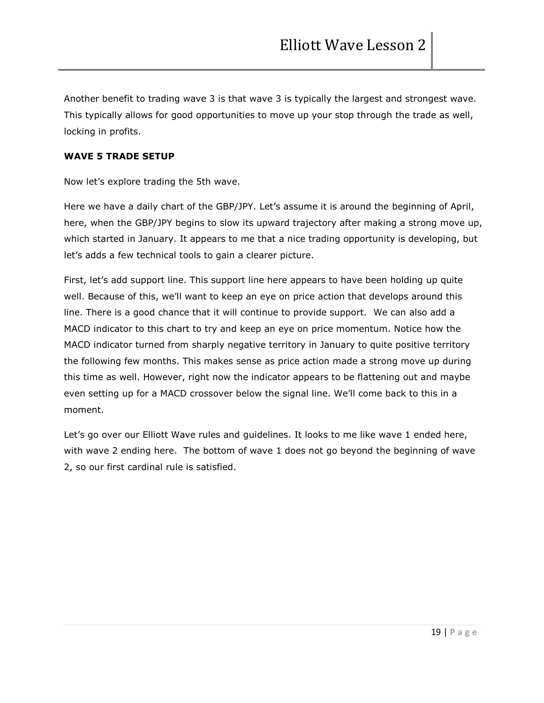Another benefit to trading wave 3 is that wave 3 is typically the largest and strongest wave. This typically allows for good opportunities to move up your stop through the trade as well, locking in profits.

## **WAVE 5 TRADE SETUP**

Now let's explore trading the 5th wave.

Here we have a daily chart of the GBP/JPY. Let's assume it is around the beginning of April, here, when the GBP/JPY begins to slow its upward trajectory after making a strong move up, which started in January. It appears to me that a nice trading opportunity is developing, but let's adds a few technical tools to gain a clearer picture.

First, let's add support line. This support line here appears to have been holding up quite well. Because of this, we'll want to keep an eye on price action that develops around this line. There is a good chance that it will continue to provide support. We can also add a MACD indicator to this chart to try and keep an eye on price momentum. Notice how the MACD indicator turned from sharply negative territory in January to quite positive territory the following few months. This makes sense as price action made a strong move up during this time as well. However, right now the indicator appears to be flattening out and maybe even setting up for a MACD crossover below the signal line. We'll come back to this in a moment.

Let's go over our Elliott Wave rules and guidelines. It looks to me like wave 1 ended here, with wave 2 ending here. The bottom of wave 1 does not go beyond the beginning of wave 2, so our first cardinal rule is satisfied.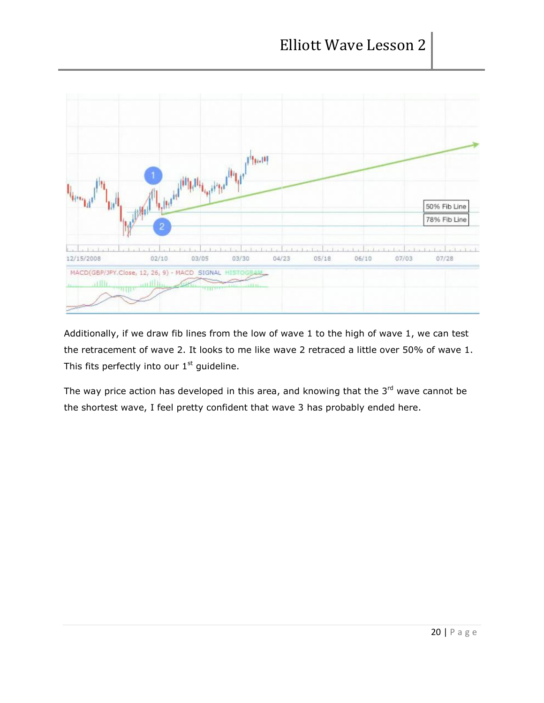

Additionally, if we draw fib lines from the low of wave 1 to the high of wave 1, we can test the retracement of wave 2. It looks to me like wave 2 retraced a little over 50% of wave 1. This fits perfectly into our  $1<sup>st</sup>$  guideline.

The way price action has developed in this area, and knowing that the  $3<sup>rd</sup>$  wave cannot be the shortest wave, I feel pretty confident that wave 3 has probably ended here.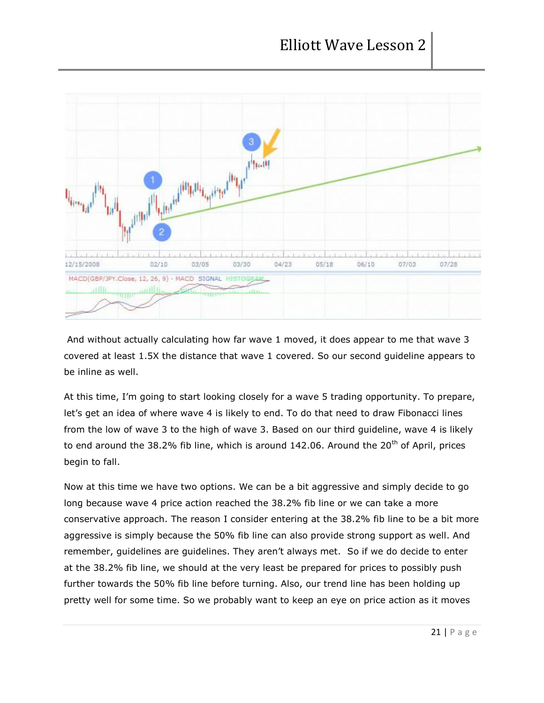

And without actually calculating how far wave 1 moved, it does appear to me that wave 3 covered at least 1.5X the distance that wave 1 covered. So our second guideline appears to be inline as well.

At this time, I'm going to start looking closely for a wave 5 trading opportunity. To prepare, let's get an idea of where wave 4 is likely to end. To do that need to draw Fibonacci lines from the low of wave 3 to the high of wave 3. Based on our third guideline, wave 4 is likely to end around the 38.2% fib line, which is around 142.06. Around the  $20<sup>th</sup>$  of April, prices begin to fall.

Now at this time we have two options. We can be a bit aggressive and simply decide to go long because wave 4 price action reached the 38.2% fib line or we can take a more conservative approach. The reason I consider entering at the 38.2% fib line to be a bit more aggressive is simply because the 50% fib line can also provide strong support as well. And remember, guidelines are guidelines. They aren't always met. So if we do decide to enter at the 38.2% fib line, we should at the very least be prepared for prices to possibly push further towards the 50% fib line before turning. Also, our trend line has been holding up pretty well for some time. So we probably want to keep an eye on price action as it moves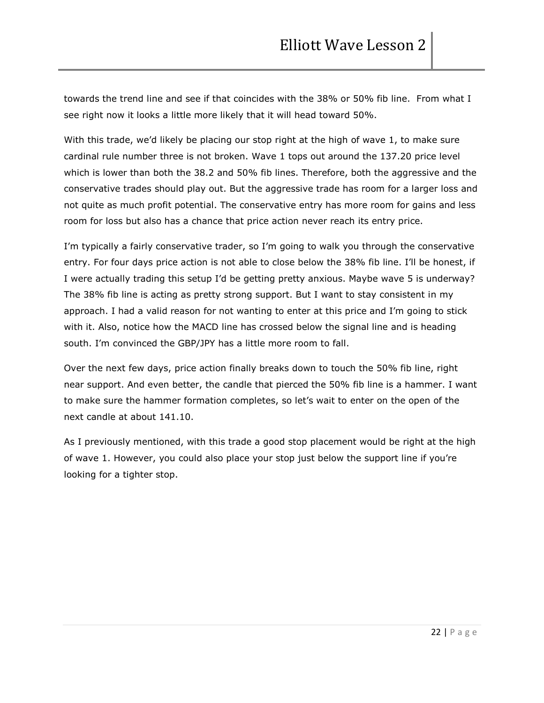towards the trend line and see if that coincides with the 38% or 50% fib line. From what I see right now it looks a little more likely that it will head toward 50%.

With this trade, we'd likely be placing our stop right at the high of wave 1, to make sure cardinal rule number three is not broken. Wave 1 tops out around the 137.20 price level which is lower than both the 38.2 and 50% fib lines. Therefore, both the aggressive and the conservative trades should play out. But the aggressive trade has room for a larger loss and not quite as much profit potential. The conservative entry has more room for gains and less room for loss but also has a chance that price action never reach its entry price.

I'm typically a fairly conservative trader, so I'm going to walk you through the conservative entry. For four days price action is not able to close below the 38% fib line. I'll be honest, if I were actually trading this setup I'd be getting pretty anxious. Maybe wave 5 is underway? The 38% fib line is acting as pretty strong support. But I want to stay consistent in my approach. I had a valid reason for not wanting to enter at this price and I'm going to stick with it. Also, notice how the MACD line has crossed below the signal line and is heading south. I'm convinced the GBP/JPY has a little more room to fall.

Over the next few days, price action finally breaks down to touch the 50% fib line, right near support. And even better, the candle that pierced the 50% fib line is a hammer. I want to make sure the hammer formation completes, so let's wait to enter on the open of the next candle at about 141.10.

As I previously mentioned, with this trade a good stop placement would be right at the high of wave 1. However, you could also place your stop just below the support line if you're looking for a tighter stop.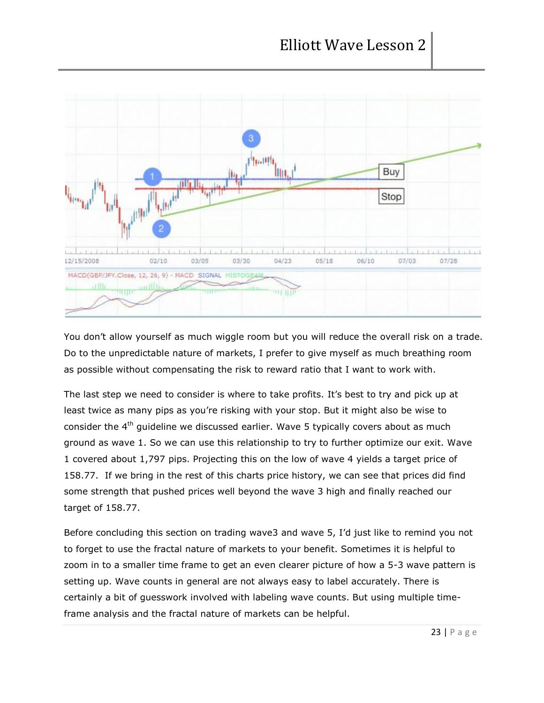

You don't allow yourself as much wiggle room but you will reduce the overall risk on a trade. Do to the unpredictable nature of markets, I prefer to give myself as much breathing room as possible without compensating the risk to reward ratio that I want to work with.

The last step we need to consider is where to take profits. It's best to try and pick up at least twice as many pips as you're risking with your stop. But it might also be wise to consider the 4<sup>th</sup> guideline we discussed earlier. Wave 5 typically covers about as much ground as wave 1. So we can use this relationship to try to further optimize our exit. Wave 1 covered about 1,797 pips. Projecting this on the low of wave 4 yields a target price of 158.77. If we bring in the rest of this charts price history, we can see that prices did find some strength that pushed prices well beyond the wave 3 high and finally reached our target of 158.77.

Before concluding this section on trading wave3 and wave 5, I'd just like to remind you not to forget to use the fractal nature of markets to your benefit. Sometimes it is helpful to zoom in to a smaller time frame to get an even clearer picture of how a 5-3 wave pattern is setting up. Wave counts in general are not always easy to label accurately. There is certainly a bit of guesswork involved with labeling wave counts. But using multiple timeframe analysis and the fractal nature of markets can be helpful.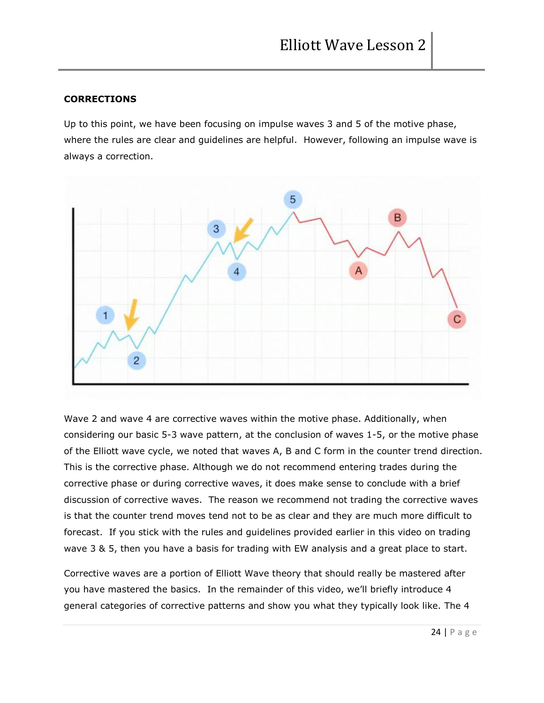## **CORRECTIONS**

Up to this point, we have been focusing on impulse waves 3 and 5 of the motive phase, where the rules are clear and guidelines are helpful. However, following an impulse wave is always a correction.



Wave 2 and wave 4 are corrective waves within the motive phase. Additionally, when considering our basic 5-3 wave pattern, at the conclusion of waves 1-5, or the motive phase of the Elliott wave cycle, we noted that waves A, B and C form in the counter trend direction. This is the corrective phase. Although we do not recommend entering trades during the corrective phase or during corrective waves, it does make sense to conclude with a brief discussion of corrective waves. The reason we recommend not trading the corrective waves is that the counter trend moves tend not to be as clear and they are much more difficult to forecast. If you stick with the rules and guidelines provided earlier in this video on trading wave 3 & 5, then you have a basis for trading with EW analysis and a great place to start.

Corrective waves are a portion of Elliott Wave theory that should really be mastered after you have mastered the basics. In the remainder of this video, we'll briefly introduce 4 general categories of corrective patterns and show you what they typically look like. The 4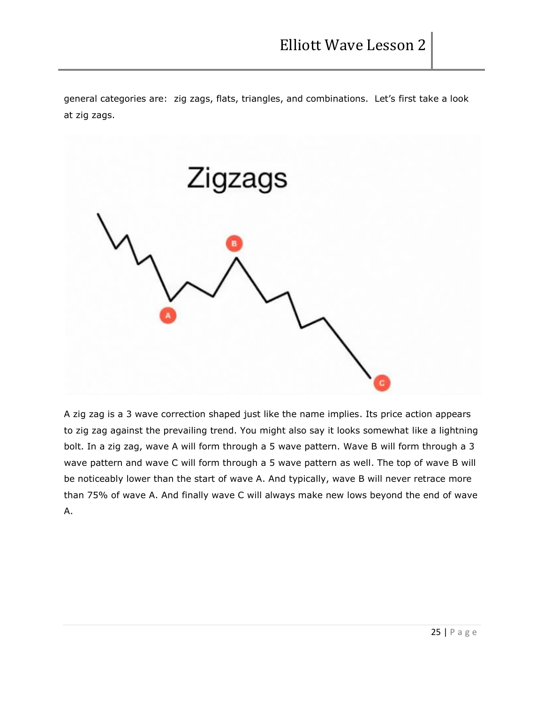general categories are: zig zags, flats, triangles, and combinations. Let's first take a look at zig zags.



A zig zag is a 3 wave correction shaped just like the name implies. Its price action appears to zig zag against the prevailing trend. You might also say it looks somewhat like a lightning bolt. In a zig zag, wave A will form through a 5 wave pattern. Wave B will form through a 3 wave pattern and wave C will form through a 5 wave pattern as well. The top of wave B will be noticeably lower than the start of wave A. And typically, wave B will never retrace more than 75% of wave A. And finally wave C will always make new lows beyond the end of wave A.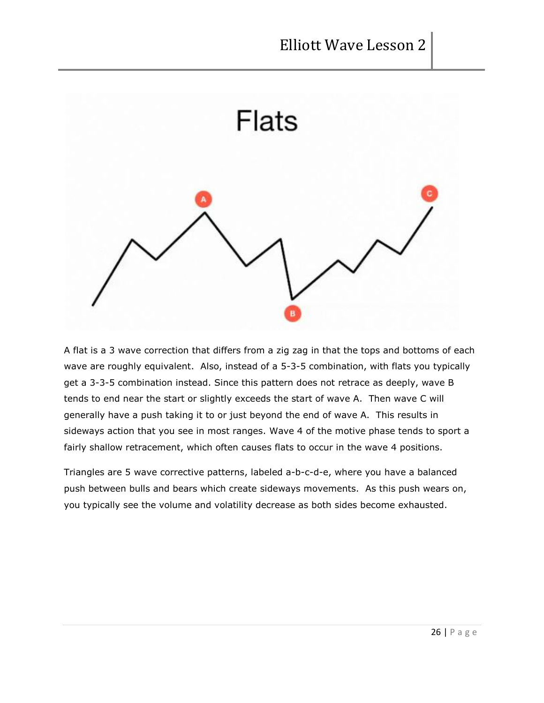

A flat is a 3 wave correction that differs from a zig zag in that the tops and bottoms of each wave are roughly equivalent. Also, instead of a 5-3-5 combination, with flats you typically get a 3-3-5 combination instead. Since this pattern does not retrace as deeply, wave B tends to end near the start or slightly exceeds the start of wave A. Then wave C will generally have a push taking it to or just beyond the end of wave A. This results in sideways action that you see in most ranges. Wave 4 of the motive phase tends to sport a fairly shallow retracement, which often causes flats to occur in the wave 4 positions.

Triangles are 5 wave corrective patterns, labeled a-b-c-d-e, where you have a balanced push between bulls and bears which create sideways movements. As this push wears on, you typically see the volume and volatility decrease as both sides become exhausted.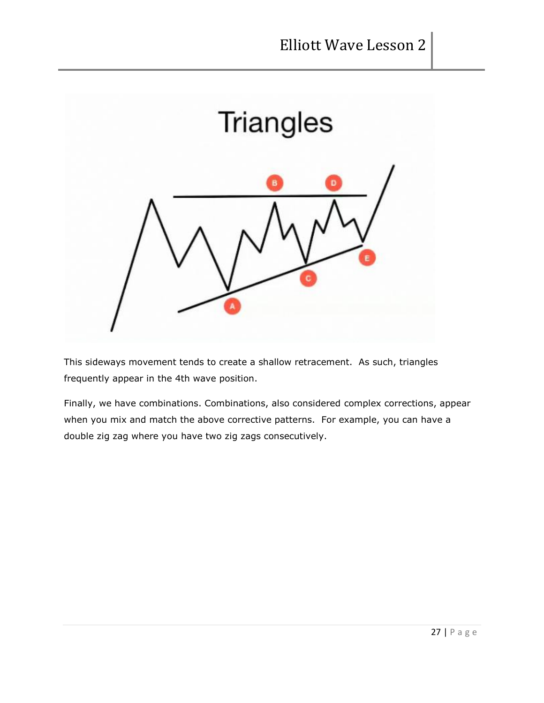

This sideways movement tends to create a shallow retracement. As such, triangles frequently appear in the 4th wave position.

Finally, we have combinations. Combinations, also considered complex corrections, appear when you mix and match the above corrective patterns. For example, you can have a double zig zag where you have two zig zags consecutively.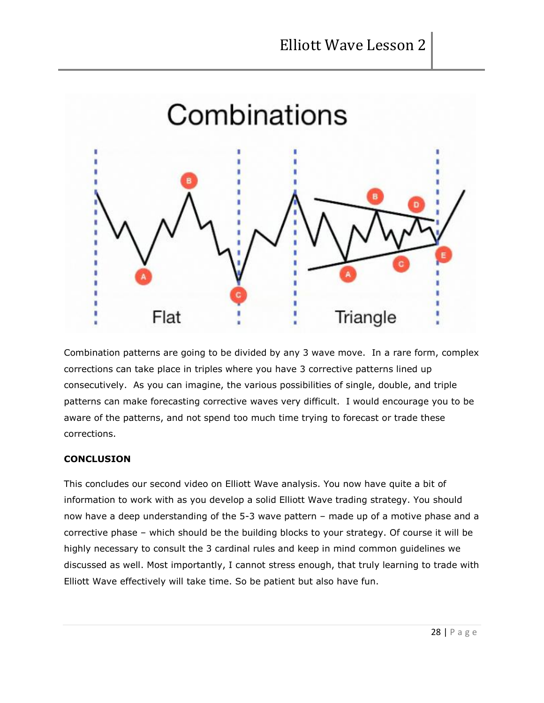

Combination patterns are going to be divided by any 3 wave move. In a rare form, complex corrections can take place in triples where you have 3 corrective patterns lined up consecutively. As you can imagine, the various possibilities of single, double, and triple patterns can make forecasting corrective waves very difficult. I would encourage you to be aware of the patterns, and not spend too much time trying to forecast or trade these corrections.

# **CONCLUSION**

This concludes our second video on Elliott Wave analysis. You now have quite a bit of information to work with as you develop a solid Elliott Wave trading strategy. You should now have a deep understanding of the 5-3 wave pattern – made up of a motive phase and a corrective phase – which should be the building blocks to your strategy. Of course it will be highly necessary to consult the 3 cardinal rules and keep in mind common guidelines we discussed as well. Most importantly, I cannot stress enough, that truly learning to trade with Elliott Wave effectively will take time. So be patient but also have fun.